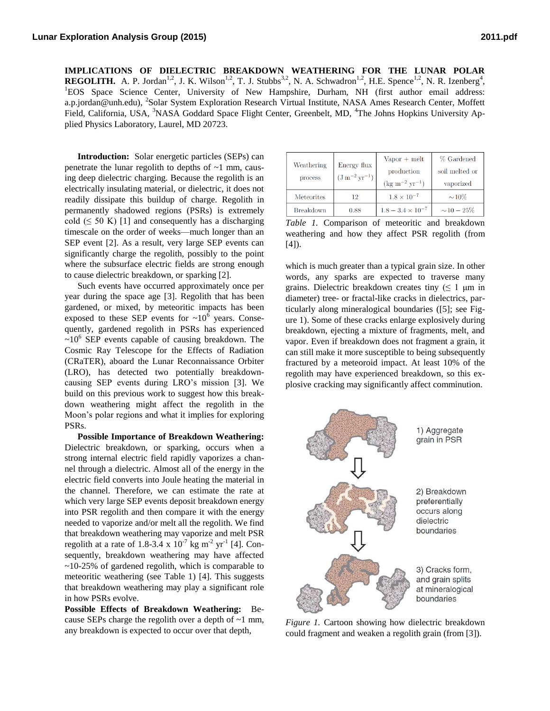**IMPLICATIONS OF DIELECTRIC BREAKDOWN WEATHERING FOR THE LUNAR POLAR REGOLITH.** A. P. Jordan<sup>1,2</sup>, J. K. Wilson<sup>1,2</sup>, T. J. Stubbs<sup>3,2</sup>, N. A. Schwadron<sup>1,2</sup>, H.E. Spence<sup>1,2</sup>, N. R. Izenberg<sup>4</sup>, <sup>1</sup>EOS Space Science Center, University of New Hampshire, Durham, NH (first author email address: a.p.jordan@unh.edu), <sup>2</sup>Solar System Exploration Research Virtual Institute, NASA Ames Research Center, Moffett Field, California, USA, <sup>3</sup>NASA Goddard Space Flight Center, Greenbelt, MD, <sup>4</sup>The Johns Hopkins University Applied Physics Laboratory, Laurel, MD 20723.

**Introduction:** Solar energetic particles (SEPs) can penetrate the lunar regolith to depths of  $\sim$ 1 mm, causing deep dielectric charging. Because the regolith is an electrically insulating material, or dielectric, it does not readily dissipate this buildup of charge. Regolith in permanently shadowed regions (PSRs) is extremely cold  $( \leq 50 \text{ K} )$  [1] and consequently has a discharging timescale on the order of weeks—much longer than an SEP event [2]. As a result, very large SEP events can significantly charge the regolith, possibly to the point where the subsurface electric fields are strong enough to cause dielectric breakdown, or sparking [2].

Such events have occurred approximately once per year during the space age [3]. Regolith that has been gardened, or mixed, by meteoritic impacts has been exposed to these SEP events for  $\sim 10^6$  years. Consequently, gardened regolith in PSRs has experienced  $\sim$ 10<sup>6</sup> SEP events capable of causing breakdown. The Cosmic Ray Telescope for the Effects of Radiation (CRaTER), aboard the Lunar Reconnaissance Orbiter (LRO), has detected two potentially breakdowncausing SEP events during LRO's mission [3]. We build on this previous work to suggest how this breakdown weathering might affect the regolith in the Moon's polar regions and what it implies for exploring PSRs.

**Possible Importance of Breakdown Weathering:** Dielectric breakdown, or sparking, occurs when a strong internal electric field rapidly vaporizes a channel through a dielectric. Almost all of the energy in the electric field converts into Joule heating the material in the channel. Therefore, we can estimate the rate at which very large SEP events deposit breakdown energy into PSR regolith and then compare it with the energy needed to vaporize and/or melt all the regolith. We find that breakdown weathering may vaporize and melt PSR regolith at a rate of 1.8-3.4 x  $10^{-7}$  kg m<sup>-2</sup> yr<sup>-1</sup> [4]. Consequently, breakdown weathering may have affected  $\sim$ 10-25% of gardened regolith, which is comparable to meteoritic weathering (see Table 1) [4]. This suggests that breakdown weathering may play a significant role in how PSRs evolve.

**Possible Effects of Breakdown Weathering:** Because SEPs charge the regolith over a depth of ~1 mm, any breakdown is expected to occur over that depth,

| Weathering<br>process | Energy flux<br>$^{\rm I}$ $\rm (J\,m^{-2}\,yr^{-1})$ . | $Vapor + melt$<br>production<br>$(\text{kg m}^{-2} \text{ yr}^{-1})$ | % Gardened<br>soil melted or<br>vaporized |
|-----------------------|--------------------------------------------------------|----------------------------------------------------------------------|-------------------------------------------|
| <b>Meteorites</b>     | 12                                                     | $1.8 \times 10^{-7}$                                                 | $\sim\!10\%$                              |
| Breakdown             | 0.88                                                   | $1.8 - 3.4 \times 10^{-7}$                                           | $\sim\!10-25\%$                           |

*Table 1.* Comparison of meteoritic and breakdown weathering and how they affect PSR regolith (from  $[4]$ ).

which is much greater than a typical grain size. In other words, any sparks are expected to traverse many grains. Dielectric breakdown creates tiny  $( \leq 1 \text{ µm in})$ diameter) tree- or fractal-like cracks in dielectrics, particularly along mineralogical boundaries ([5]; see Figure 1). Some of these cracks enlarge explosively during breakdown, ejecting a mixture of fragments, melt, and vapor. Even if breakdown does not fragment a grain, it can still make it more susceptible to being subsequently fractured by a meteoroid impact. At least 10% of the regolith may have experienced breakdown, so this explosive cracking may significantly affect comminution.



*Figure 1.* Cartoon showing how dielectric breakdown could fragment and weaken a regolith grain (from [3]).